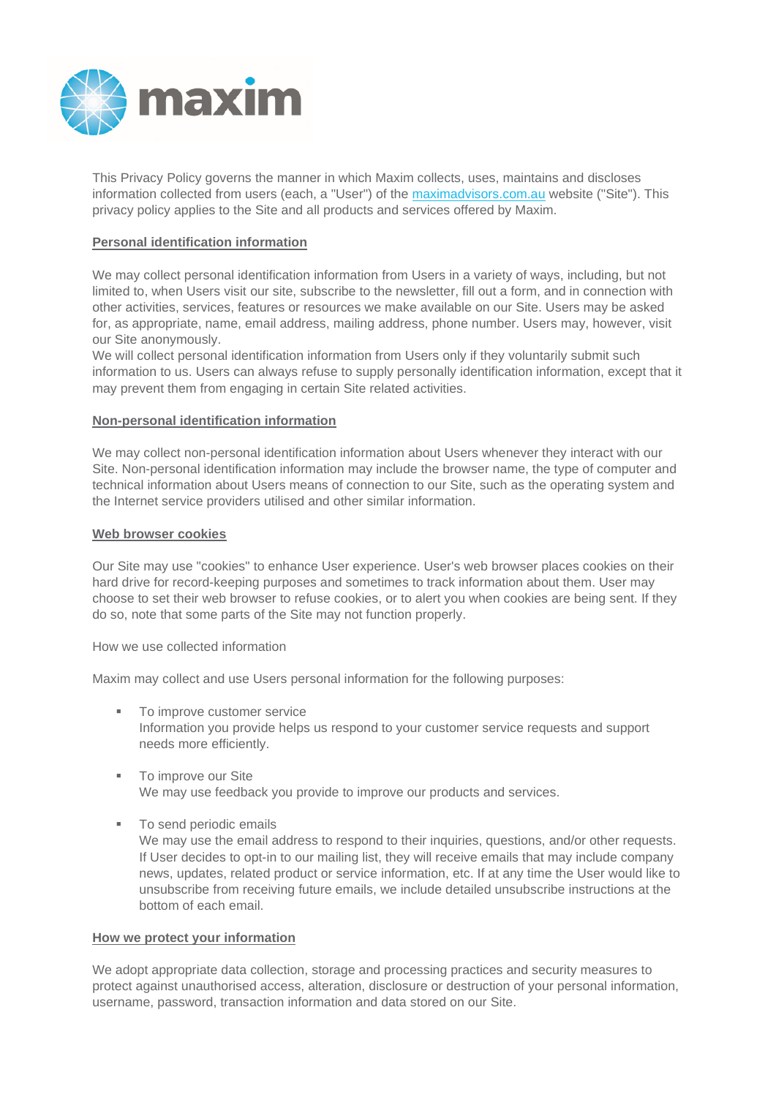

This Privacy Policy governs the manner in which Maxim collects, uses, maintains and discloses information collected from users (each, a "User") of the maximadvisors.com.au website ("Site"). This privacy policy applies to the Site and all products and services offered by Maxim.

## **Personal identification information**

We may collect personal identification information from Users in a variety of ways, including, but not limited to, when Users visit our site, subscribe to the newsletter, fill out a form, and in connection with other activities, services, features or resources we make available on our Site. Users may be asked for, as appropriate, name, email address, mailing address, phone number. Users may, however, visit our Site anonymously.

We will collect personal identification information from Users only if they voluntarily submit such information to us. Users can always refuse to supply personally identification information, except that it may prevent them from engaging in certain Site related activities.

## **Non-personal identification information**

We may collect non-personal identification information about Users whenever they interact with our Site. Non-personal identification information may include the browser name, the type of computer and technical information about Users means of connection to our Site, such as the operating system and the Internet service providers utilised and other similar information.

## **Web browser cookies**

Our Site may use "cookies" to enhance User experience. User's web browser places cookies on their hard drive for record-keeping purposes and sometimes to track information about them. User may choose to set their web browser to refuse cookies, or to alert you when cookies are being sent. If they do so, note that some parts of the Site may not function properly.

How we use collected information

Maxim may collect and use Users personal information for the following purposes:

- To improve customer service Information you provide helps us respond to your customer service requests and support needs more efficiently.
- **To improve our Site** We may use feedback you provide to improve our products and services.
- To send periodic emails

We may use the email address to respond to their inquiries, questions, and/or other requests. If User decides to opt-in to our mailing list, they will receive emails that may include company news, updates, related product or service information, etc. If at any time the User would like to unsubscribe from receiving future emails, we include detailed unsubscribe instructions at the bottom of each email.

#### **How we protect your information**

We adopt appropriate data collection, storage and processing practices and security measures to protect against unauthorised access, alteration, disclosure or destruction of your personal information, username, password, transaction information and data stored on our Site.